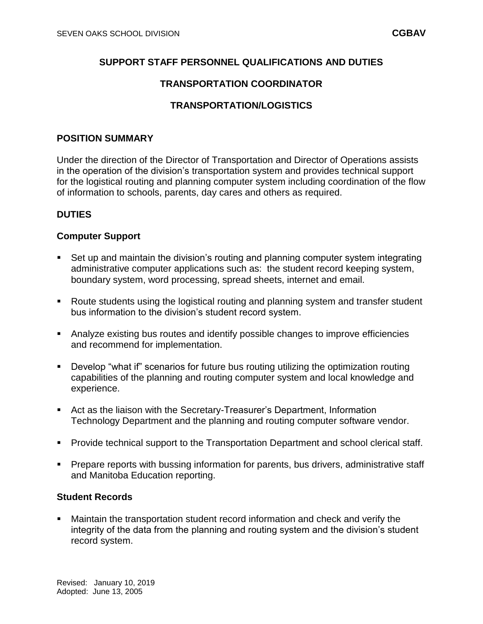### **SUPPORT STAFF PERSONNEL QUALIFICATIONS AND DUTIES**

### **TRANSPORTATION COORDINATOR**

### **TRANSPORTATION/LOGISTICS**

#### **POSITION SUMMARY**

Under the direction of the Director of Transportation and Director of Operations assists in the operation of the division's transportation system and provides technical support for the logistical routing and planning computer system including coordination of the flow of information to schools, parents, day cares and others as required.

#### **DUTIES**

#### **Computer Support**

- Set up and maintain the division's routing and planning computer system integrating administrative computer applications such as: the student record keeping system, boundary system, word processing, spread sheets, internet and email.
- Route students using the logistical routing and planning system and transfer student bus information to the division's student record system.
- Analyze existing bus routes and identify possible changes to improve efficiencies and recommend for implementation.
- Develop "what if" scenarios for future bus routing utilizing the optimization routing capabilities of the planning and routing computer system and local knowledge and experience.
- Act as the liaison with the Secretary-Treasurer's Department, Information Technology Department and the planning and routing computer software vendor.
- **Provide technical support to the Transportation Department and school clerical staff.**
- **Prepare reports with bussing information for parents, bus drivers, administrative staff** and Manitoba Education reporting.

#### **Student Records**

 Maintain the transportation student record information and check and verify the integrity of the data from the planning and routing system and the division's student record system.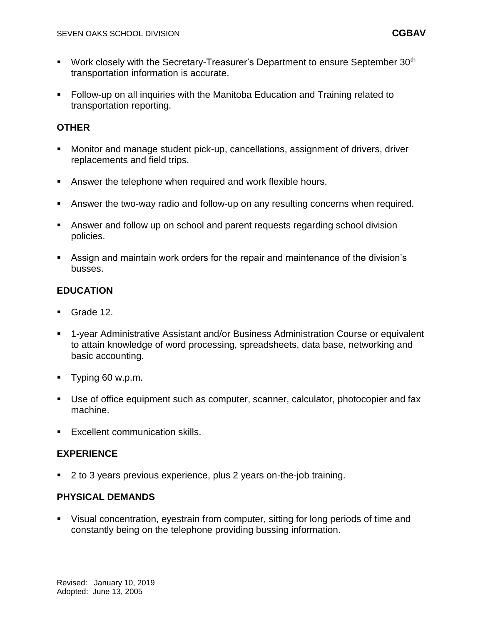- Work closely with the Secretary-Treasurer's Department to ensure September 30<sup>th</sup> transportation information is accurate.
- Follow-up on all inquiries with the Manitoba Education and Training related to transportation reporting.

### **OTHER**

- Monitor and manage student pick-up, cancellations, assignment of drivers, driver replacements and field trips.
- Answer the telephone when required and work flexible hours.
- Answer the two-way radio and follow-up on any resulting concerns when required.
- Answer and follow up on school and parent requests regarding school division policies.
- Assign and maintain work orders for the repair and maintenance of the division's busses.

# **EDUCATION**

- Grade 12.
- 1-year Administrative Assistant and/or Business Administration Course or equivalent to attain knowledge of word processing, spreadsheets, data base, networking and basic accounting.
- Typing 60 w.p.m.
- Use of office equipment such as computer, scanner, calculator, photocopier and fax machine.
- **Excellent communication skills.**

# **EXPERIENCE**

■ 2 to 3 years previous experience, plus 2 years on-the-job training.

### **PHYSICAL DEMANDS**

 Visual concentration, eyestrain from computer, sitting for long periods of time and constantly being on the telephone providing bussing information.